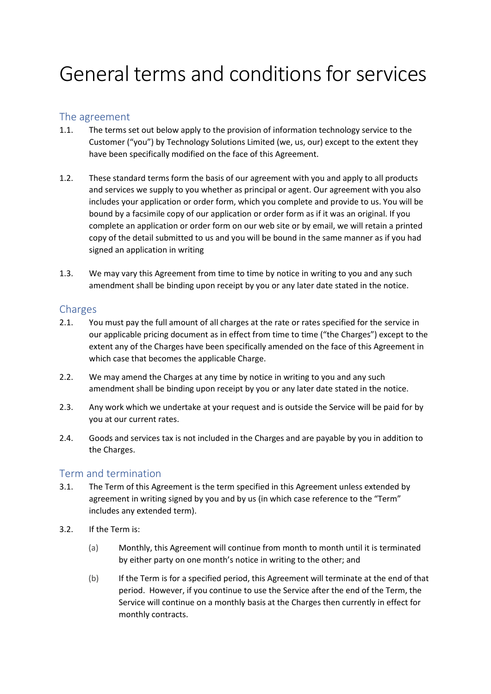# General terms and conditions for services

## The agreement

- 1.1. The terms set out below apply to the provision of information technology service to the Customer ("you") by Technology Solutions Limited (we, us, our) except to the extent they have been specifically modified on the face of this Agreement.
- 1.2. These standard terms form the basis of our agreement with you and apply to all products and services we supply to you whether as principal or agent. Our agreement with you also includes your application or order form, which you complete and provide to us. You will be bound by a facsimile copy of our application or order form as if it was an original. If you complete an application or order form on our web site or by email, we will retain a printed copy of the detail submitted to us and you will be bound in the same manner as if you had signed an application in writing
- 1.3. We may vary this Agreement from time to time by notice in writing to you and any such amendment shall be binding upon receipt by you or any later date stated in the notice.

## Charges

- 2.1. You must pay the full amount of all charges at the rate or rates specified for the service in our applicable pricing document as in effect from time to time ("the Charges") except to the extent any of the Charges have been specifically amended on the face of this Agreement in which case that becomes the applicable Charge.
- 2.2. We may amend the Charges at any time by notice in writing to you and any such amendment shall be binding upon receipt by you or any later date stated in the notice.
- 2.3. Any work which we undertake at your request and is outside the Service will be paid for by you at our current rates.
- 2.4. Goods and services tax is not included in the Charges and are payable by you in addition to the Charges.

## Term and termination

- 3.1. The Term of this Agreement is the term specified in this Agreement unless extended by agreement in writing signed by you and by us (in which case reference to the "Term" includes any extended term).
- 3.2. If the Term is:
	- (a) Monthly, this Agreement will continue from month to month until it is terminated by either party on one month's notice in writing to the other; and
	- (b) If the Term is for a specified period, this Agreement will terminate at the end of that period. However, if you continue to use the Service after the end of the Term, the Service will continue on a monthly basis at the Charges then currently in effect for monthly contracts.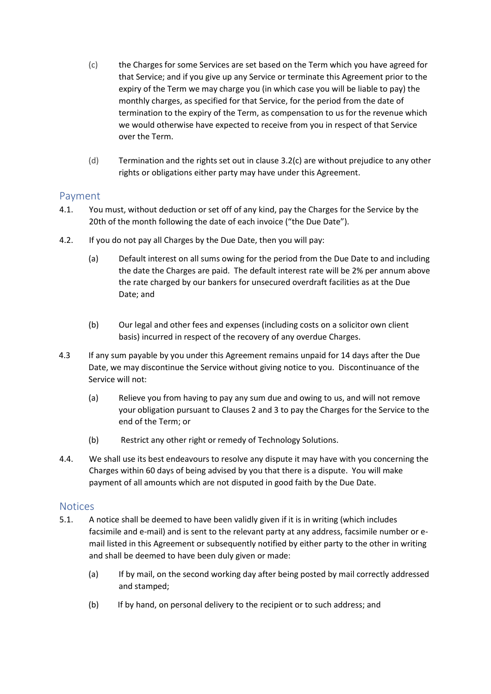- (c) the Charges for some Services are set based on the Term which you have agreed for that Service; and if you give up any Service or terminate this Agreement prior to the expiry of the Term we may charge you (in which case you will be liable to pay) the monthly charges, as specified for that Service, for the period from the date of termination to the expiry of the Term, as compensation to us for the revenue which we would otherwise have expected to receive from you in respect of that Service over the Term.
- (d) Termination and the rights set out in clause 3.2(c) are without prejudice to any other rights or obligations either party may have under this Agreement.

## Payment

- 4.1. You must, without deduction or set off of any kind, pay the Charges for the Service by the 20th of the month following the date of each invoice ("the Due Date").
- 4.2. If you do not pay all Charges by the Due Date, then you will pay:
	- (a) Default interest on all sums owing for the period from the Due Date to and including the date the Charges are paid. The default interest rate will be 2% per annum above the rate charged by our bankers for unsecured overdraft facilities as at the Due Date; and
	- (b) Our legal and other fees and expenses (including costs on a solicitor own client basis) incurred in respect of the recovery of any overdue Charges.
- 4.3 If any sum payable by you under this Agreement remains unpaid for 14 days after the Due Date, we may discontinue the Service without giving notice to you. Discontinuance of the Service will not:
	- (a) Relieve you from having to pay any sum due and owing to us, and will not remove your obligation pursuant to Clauses 2 and 3 to pay the Charges for the Service to the end of the Term; or
	- (b) Restrict any other right or remedy of Technology Solutions.
- 4.4. We shall use its best endeavours to resolve any dispute it may have with you concerning the Charges within 60 days of being advised by you that there is a dispute. You will make payment of all amounts which are not disputed in good faith by the Due Date.

#### **Notices**

- 5.1. A notice shall be deemed to have been validly given if it is in writing (which includes facsimile and e-mail) and is sent to the relevant party at any address, facsimile number or email listed in this Agreement or subsequently notified by either party to the other in writing and shall be deemed to have been duly given or made:
	- (a) If by mail, on the second working day after being posted by mail correctly addressed and stamped;
	- (b) If by hand, on personal delivery to the recipient or to such address; and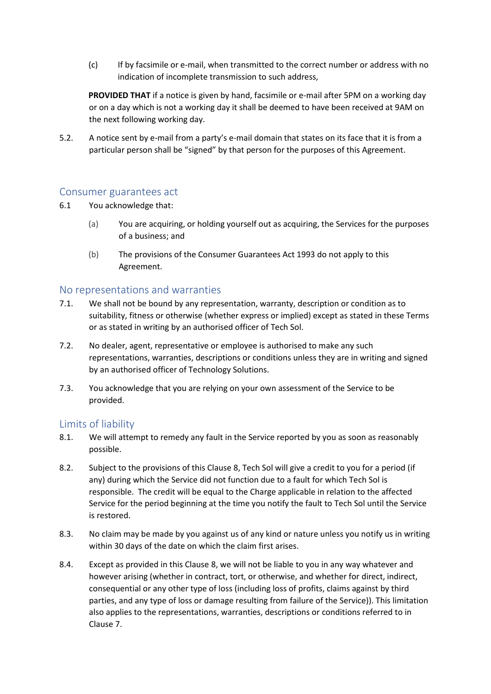(c) If by facsimile or e-mail, when transmitted to the correct number or address with no indication of incomplete transmission to such address,

**PROVIDED THAT** if a notice is given by hand, facsimile or e-mail after 5PM on a working day or on a day which is not a working day it shall be deemed to have been received at 9AM on the next following working day.

5.2. A notice sent by e-mail from a party's e-mail domain that states on its face that it is from a particular person shall be "signed" by that person for the purposes of this Agreement.

#### Consumer guarantees act

- 6.1 You acknowledge that:
	- (a) You are acquiring, or holding yourself out as acquiring, the Services for the purposes of a business; and
	- (b) The provisions of the Consumer Guarantees Act 1993 do not apply to this Agreement.

#### No representations and warranties

- 7.1. We shall not be bound by any representation, warranty, description or condition as to suitability, fitness or otherwise (whether express or implied) except as stated in these Terms or as stated in writing by an authorised officer of Tech Sol.
- 7.2. No dealer, agent, representative or employee is authorised to make any such representations, warranties, descriptions or conditions unless they are in writing and signed by an authorised officer of Technology Solutions.
- 7.3. You acknowledge that you are relying on your own assessment of the Service to be provided.

## Limits of liability

- 8.1. We will attempt to remedy any fault in the Service reported by you as soon as reasonably possible.
- 8.2. Subject to the provisions of this Clause 8, Tech Sol will give a credit to you for a period (if any) during which the Service did not function due to a fault for which Tech Sol is responsible. The credit will be equal to the Charge applicable in relation to the affected Service for the period beginning at the time you notify the fault to Tech Sol until the Service is restored.
- 8.3. No claim may be made by you against us of any kind or nature unless you notify us in writing within 30 days of the date on which the claim first arises.
- 8.4. Except as provided in this Clause 8, we will not be liable to you in any way whatever and however arising (whether in contract, tort, or otherwise, and whether for direct, indirect, consequential or any other type of loss (including loss of profits, claims against by third parties, and any type of loss or damage resulting from failure of the Service)). This limitation also applies to the representations, warranties, descriptions or conditions referred to in Clause 7.